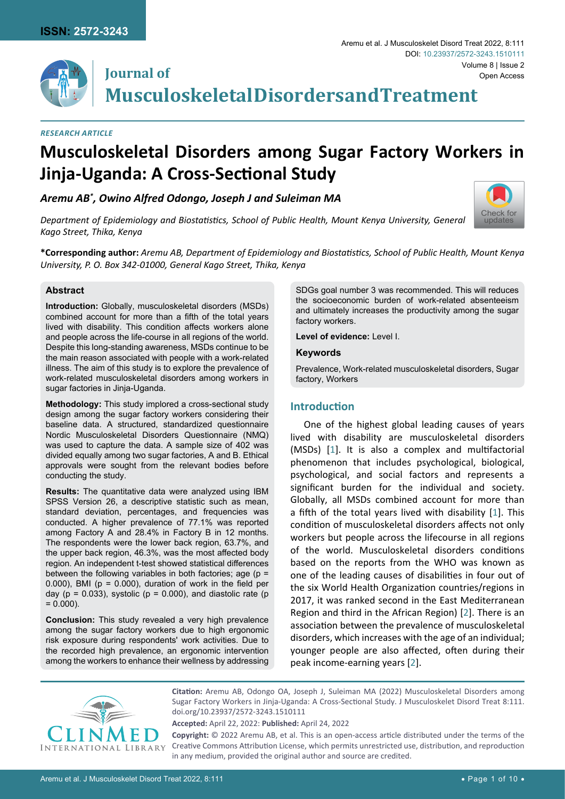**Journal of**



[Check for](http://crossmark.crossref.org/dialog/?doi=10.23937/2572-3243.1510111&domain=pdf) updates

**Musculoskeletal Disorders and Treatment**

#### *Research Article*

# **Musculoskeletal Disorders among Sugar Factory Workers in Jinja-Uganda: A Cross-Sectional Study**

*Aremu AB\* , Owino Alfred Odongo, Joseph J and Suleiman MA*

*Department of Epidemiology and Biostatistics, School of Public Health, Mount Kenya University, General Kago Street, Thika, Kenya*

**\*Corresponding author:** *Aremu AB, Department of Epidemiology and Biostatistics, School of Public Health, Mount Kenya University, P. O. Box 342-01000, General Kago Street, Thika, Kenya*

#### **Abstract**

**Introduction:** Globally, musculoskeletal disorders (MSDs) combined account for more than a fifth of the total years lived with disability. This condition affects workers alone and people across the life-course in all regions of the world. Despite this long-standing awareness, MSDs continue to be the main reason associated with people with a work-related illness. The aim of this study is to explore the prevalence of work-related musculoskeletal disorders among workers in sugar factories in Jinja-Uganda.

**Methodology:** This study implored a cross-sectional study design among the sugar factory workers considering their baseline data. A structured, standardized questionnaire Nordic Musculoskeletal Disorders Questionnaire (NMQ) was used to capture the data. A sample size of 402 was divided equally among two sugar factories, A and B. Ethical approvals were sought from the relevant bodies before conducting the study.

**Results:** The quantitative data were analyzed using IBM SPSS Version 26, a descriptive statistic such as mean, standard deviation, percentages, and frequencies was conducted. A higher prevalence of 77.1% was reported among Factory A and 28.4% in Factory B in 12 months. The respondents were the lower back region, 63.7%, and the upper back region, 46.3%, was the most affected body region. An independent t-test showed statistical differences between the following variables in both factories; age (p = 0.000), BMI ( $p = 0.000$ ), duration of work in the field per day ( $p = 0.033$ ), systolic ( $p = 0.000$ ), and diastolic rate ( $p$  $= 0.000$ ).

**Conclusion:** This study revealed a very high prevalence among the sugar factory workers due to high ergonomic risk exposure during respondents' work activities. Due to the recorded high prevalence, an ergonomic intervention among the workers to enhance their wellness by addressing SDGs goal number 3 was recommended. This will reduces the socioeconomic burden of work-related absenteeism and ultimately increases the productivity among the sugar factory workers.

**Level of evidence:** Level I.

#### **Keywords**

Prevalence, Work-related musculoskeletal disorders, Sugar factory, Workers

#### **Introduction**

One of the highest global leading causes of years lived with disability are musculoskeletal disorders (MSDs) [[1](#page-8-0)]. It is also a complex and multifactorial phenomenon that includes psychological, biological, psychological, and social factors and represents a significant burden for the individual and society. Globally, all MSDs combined account for more than a fifth of the total years lived with disability [\[1\]](#page-8-0). This condition of musculoskeletal disorders affects not only workers but people across the lifecourse in all regions of the world. Musculoskeletal disorders conditions based on the reports from the WHO was known as one of the leading causes of disabilities in four out of the six World Health Organization countries/regions in 2017, it was ranked second in the East Mediterranean Region and third in the African Region) [[2](#page-8-1)]. There is an association between the prevalence of musculoskeletal disorders, which increases with the age of an individual; younger people are also affected, often during their peak income-earning years [[2](#page-8-1)].



**Citation:** Aremu AB, Odongo OA, Joseph J, Suleiman MA (2022) Musculoskeletal Disorders among Sugar Factory Workers in Jinja-Uganda: A Cross-Sectional Study. J Musculoskelet Disord Treat 8:111. [doi.org/10.23937/2572-3243.151011](https://doi.org/10.23937/2572-3243.1510111)1

**Accepted:** April 22, 2022: **Published:** April 24, 2022

**Copyright:** © 2022 Aremu AB, et al. This is an open-access article distributed under the terms of the Creative Commons Attribution License, which permits unrestricted use, distribution, and reproduction in any medium, provided the original author and source are credited.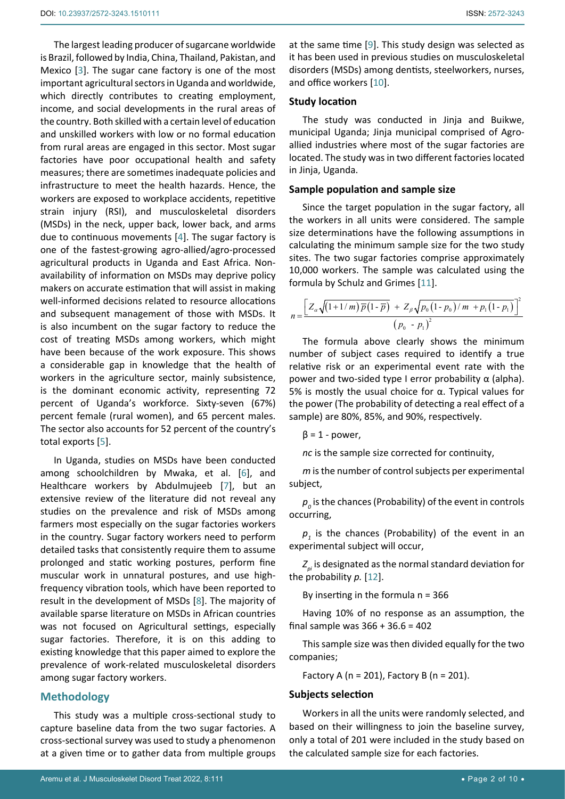The largest leading producer of sugarcane worldwide is Brazil, followed by India, China, Thailand, Pakistan, and Mexico [\[3\]](#page-8-2). The sugar cane factory is one of the most important agricultural sectors in Uganda and worldwide, which directly contributes to creating employment, income, and social developments in the rural areas of the country. Both skilled with a certain level of education and unskilled workers with low or no formal education from rural areas are engaged in this sector. Most sugar factories have poor occupational health and safety measures; there are sometimes inadequate policies and infrastructure to meet the health hazards. Hence, the workers are exposed to workplace accidents, repetitive strain injury (RSI), and musculoskeletal disorders (MSDs) in the neck, upper back, lower back, and arms due to continuous movements [\[4\]](#page-8-3). The sugar factory is one of the fastest-growing agro-allied/agro-processed agricultural products in Uganda and East Africa. Nonavailability of information on MSDs may deprive policy makers on accurate estimation that will assist in making well-informed decisions related to resource allocations and subsequent management of those with MSDs. It is also incumbent on the sugar factory to reduce the cost of treating MSDs among workers, which might have been because of the work exposure. This shows a considerable gap in knowledge that the health of workers in the agriculture sector, mainly subsistence, is the dominant economic activity, representing 72 percent of Uganda's workforce. Sixty-seven (67%) percent female (rural women), and 65 percent males. The sector also accounts for 52 percent of the country's total exports [\[5](#page-8-4)].

In Uganda, studies on MSDs have been conducted among schoolchildren by Mwaka, et al. [\[6](#page-8-5)], and Healthcare workers by Abdulmujeeb [[7](#page-8-6)], but an extensive review of the literature did not reveal any studies on the prevalence and risk of MSDs among farmers most especially on the sugar factories workers in the country. Sugar factory workers need to perform detailed tasks that consistently require them to assume prolonged and static working postures, perform fine muscular work in unnatural postures, and use highfrequency vibration tools, which have been reported to result in the development of MSDs [[8](#page-8-7)]. The majority of available sparse literature on MSDs in African countries was not focused on Agricultural settings, especially sugar factories. Therefore, it is on this adding to existing knowledge that this paper aimed to explore the prevalence of work-related musculoskeletal disorders among sugar factory workers.

## **Methodology**

This study was a multiple cross-sectional study to capture baseline data from the two sugar factories. A cross-sectional survey was used to study a phenomenon at a given time or to gather data from multiple groups at the same time [[9](#page-8-8)]. This study design was selected as it has been used in previous studies on musculoskeletal disorders (MSDs) among dentists, steelworkers, nurses, and office workers [\[10](#page-8-9)].

#### **Study location**

The study was conducted in Jinja and Buikwe, municipal Uganda; Jinja municipal comprised of Agroallied industries where most of the sugar factories are located. The study was in two different factories located in Jinja, Uganda.

#### **Sample population and sample size**

Since the target population in the sugar factory, all the workers in all units were considered. The sample size determinations have the following assumptions in calculating the minimum sample size for the two study sites. The two sugar factories comprise approximately 10,000 workers. The sample was calculated using the formula by Schulz and Grimes [\[11\]](#page-8-10).

$$
n = \frac{\left[Z_{\alpha}\sqrt{\left(1+1/m\right)\overline{p}\left(1-\overline{p}\right)}\right] + Z_{\beta}\sqrt{p_0\left(1-p_0\right)/m + p_1\left(1-p_1\right)}\right]^2}{\left(p_0 - p_1\right)^2}
$$

The formula above clearly shows the minimum number of subject cases required to identify a true relative risk or an experimental event rate with the power and two-sided type I error probability α (alpha). 5% is mostly the usual choice for α. Typical values for the power (The probability of detecting a real effect of a sample) are 80%, 85%, and 90%, respectively.

 $β = 1 - power$ ,

*nc* is the sample size corrected for continuity,

*m* is the number of control subjects per experimental subject,

 $p<sub>o</sub>$  is the chances (Probability) of the event in controls occurring,

 $p_{_1}$  is the chances (Probability) of the event in an experimental subject will occur,

 $Z_{ni}$  is designated as the normal standard deviation for the probability *p.* [[12\]](#page-8-11).

By inserting in the formula  $n = 366$ 

Having 10% of no response as an assumption, the final sample was 366 + 36.6 = 402

This sample size was then divided equally for the two companies;

Factory A ( $n = 201$ ), Factory B ( $n = 201$ ).

#### **Subjects selection**

Workers in all the units were randomly selected, and based on their willingness to join the baseline survey, only a total of 201 were included in the study based on the calculated sample size for each factories.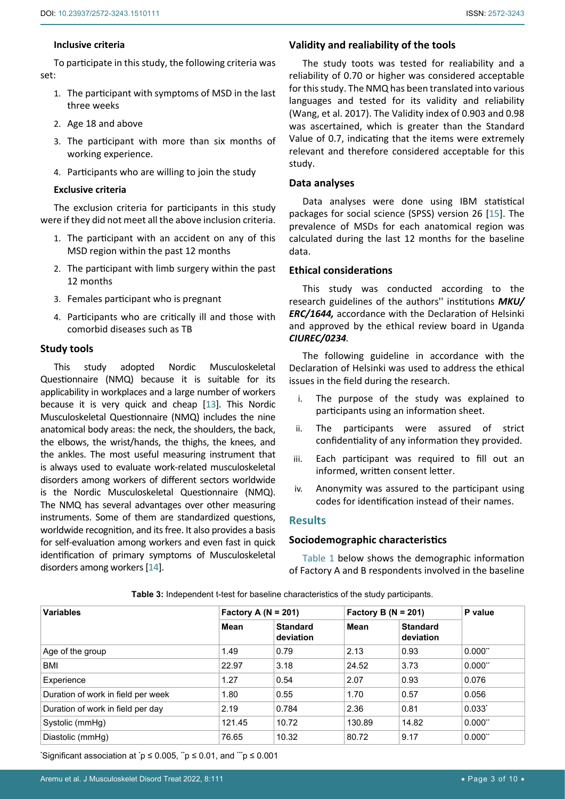## **Inclusive criteria**

To participate in this study, the following criteria was set:

- 1. The participant with symptoms of MSD in the last three weeks
- 2. Age 18 and above
- 3. The participant with more than six months of working experience.
- 4. Participants who are willing to join the study

## **Exclusive criteria**

The exclusion criteria for participants in this study were if they did not meet all the above inclusion criteria.

- 1. The participant with an accident on any of this MSD region within the past 12 months
- 2. The participant with limb surgery within the past 12 months
- 3. Females participant who is pregnant
- 4. Participants who are critically ill and those with comorbid diseases such as TB

### **Study tools**

This study adopted Nordic Musculoskeletal Questionnaire (NMQ) because it is suitable for its applicability in workplaces and a large number of workers because it is very quick and cheap [\[13\]](#page-8-13). This Nordic Musculoskeletal Questionnaire (NMQ) includes the nine anatomical body areas: the neck, the shoulders, the back, the elbows, the wrist/hands, the thighs, the knees, and the ankles. The most useful measuring instrument that is always used to evaluate work-related musculoskeletal disorders among workers of different sectors worldwide is the Nordic Musculoskeletal Questionnaire (NMQ). The NMQ has several advantages over other measuring instruments. Some of them are standardized questions, worldwide recognition, and its free. It also provides a basis for self-evaluation among workers and even fast in quick identification of primary symptoms of Musculoskeletal disorders among workers [\[14](#page-8-14)].

## **Validity and realiability of the tools**

The study toots was tested for realiability and a reliability of 0.70 or higher was considered acceptable for this study. The NMQ has been translated into various languages and tested for its validity and reliability (Wang, et al. 2017). The Validity index of 0.903 and 0.98 was ascertained, which is greater than the Standard Value of 0.7, indicating that the items were extremely relevant and therefore considered acceptable for this study.

### **Data analyses**

Data analyses were done using IBM statistical packages for social science (SPSS) version 26 [\[15\]](#page-8-12). The prevalence of MSDs for each anatomical region was calculated during the last 12 months for the baseline data.

## **Ethical considerations**

This study was conducted according to the research guidelines of the authors'' institutions *MKU/ ERC/1644,* accordance with the Declaration of Helsinki and approved by the ethical review board in Uganda *CIUREC/0234.*

The following guideline in accordance with the Declaration of Helsinki was used to address the ethical issues in the field during the research.

- i. The purpose of the study was explained to participants using an information sheet.
- ii. The participants were assured of strict confidentiality of any information they provided.
- iii. Each participant was required to fill out an informed, written consent letter.
- iv. Anonymity was assured to the participant using codes for identification instead of their names.

## **Results**

## **Sociodemographic characteristics**

Table 1 below shows the demographic information of Factory A and B respondents involved in the baseline

| <b>Variables</b>                   | Factory A ( $N = 201$ ) |                              | Factory B ( $N = 201$ ) |                              | P value               |
|------------------------------------|-------------------------|------------------------------|-------------------------|------------------------------|-----------------------|
|                                    | Mean                    | <b>Standard</b><br>deviation | Mean                    | <b>Standard</b><br>deviation |                       |
| Age of the group                   | 1.49                    | 0.79                         | 2.13                    | 0.93                         | $0.000$ <sup>**</sup> |
| BMI                                | 22.97                   | 3.18                         | 24.52                   | 3.73                         | $0.000$ <sup>**</sup> |
| Experience                         | 1.27                    | 0.54                         | 2.07                    | 0.93                         | 0.076                 |
| Duration of work in field per week | 1.80                    | 0.55                         | 1.70                    | 0.57                         | 0.056                 |
| Duration of work in field per day  | 2.19                    | 0.784                        | 2.36                    | 0.81                         | $0.033^{*}$           |
| Systolic (mmHg)                    | 121.45                  | 10.72                        | 130.89                  | 14.82                        | $0.000$ <sup>**</sup> |
| Diastolic (mmHg)                   | 76.65                   | 10.32                        | 80.72                   | 9.17                         | $0.000$ <sup>**</sup> |

**Table 3:** Independent t-test for baseline characteristics of the study participants.

\* Significant association at \* p ≤ 0.005, \*\*p ≤ 0.01, and \*\*\*p ≤ 0.001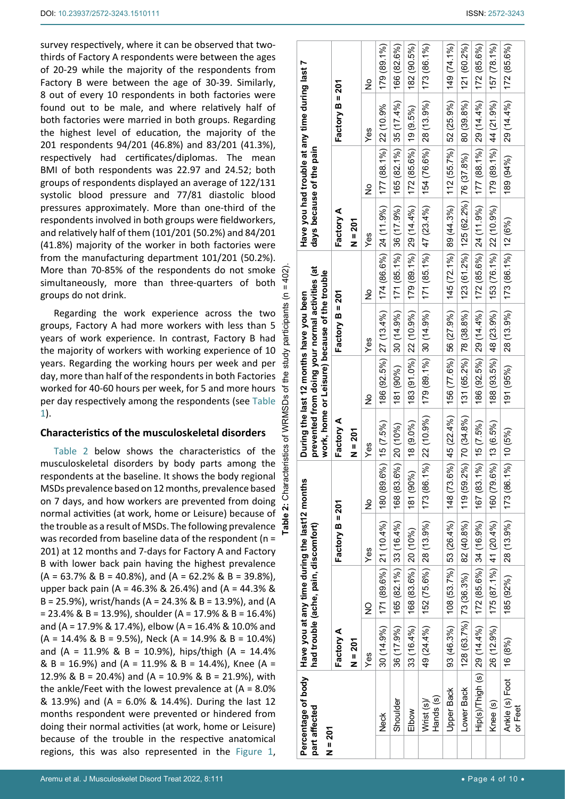survey respectively, where it can be observed that twothirds of Factory A respondents were between the ages of 20-29 while the majority of the respondents from Factory B were between the age of 30-39. Similarly, 8 out of every 10 respondents in both factories were found out to be male, and where relatively half of both factories were married in both groups. Regarding the highest level of education, the majority of the 201 respondents 94/201 (46.8%) and 83/201 (41.3%), respectively had certificates/diplomas. The mean BMI of both respondents was 22.97 and 24.52; both groups of respondents displayed an average of 122/131 systolic blood pressure and 77/81 diastolic blood pressures approximately. More than one-third of the respondents involved in both groups were fieldworkers, and relatively half of them (101/201 (50.2%) and 84/201 (41.8%) majority of the worker in both factories were from the manufacturing department 101/201 (50.2%). More than 70-85% of the respondents do not smoke simultaneously, more than three-quarters of both groups do not drink.

**Table 2:** Characteristics of WRMSDs of the study participants (n = 402). bants Regarding the work experience across the two participa groups, Factory A had more workers with less than 5 years of work experience. In contrast, Factory B had the majority of workers with working experience of 10 years. Regarding the working hours per week and per day, more than half of the respondents in both Factories g worked for 40-60 hours per week, for 5 and more hours ৳ of WRMSDs per day respectively among the respondents (see Table 1).

 $\overline{5}$ 

Characterist

### **Characteristics of the musculoskeletal disorders**

ပိ Table 2 below shows the characteristics of the musculoskeletal disorders by body parts among the respondents at the baseline. It shows the body regional MSDs prevalence based on 12 months, prevalence based on 7 days, and how workers are prevented from doing normal activities (at work, home or Leisure) because of  $\bullet$ the trouble as a result of MSDs. The following prevalence  $\frac{1}{6}$ was recorded from baseline data of the respondent (n = 201) at 12 months and 7-days for Factory A and Factory B with lower back pain having the highest prevalence  $(A = 63.7\% \& B = 40.8\%),$  and  $(A = 62.2\% \& B = 39.8\%),$ upper back pain (A = 46.3% & 26.4%) and (A = 44.3% & B = 25.9%), wrist/hands (A = 24.3% & B = 13.9%), and (A  $= 23.4\%$  & B = 13.9%), shoulder (A = 17.9% & B = 16.4%) and (A = 17.9% & 17.4%), elbow (A = 16.4% & 10.0% and  $(A = 14.4\% \& B = 9.5\%).$  Neck  $(A = 14.9\% \& B = 10.4\%)$ and (A = 11.9% & B = 10.9%), hips/thigh (A = 14.4% & B = 16.9%) and (A = 11.9% & B = 14.4%), Knee (A = 12.9% & B = 20.4%) and (A = 10.9% & B = 21.9%), with the ankle/Feet with the lowest prevalence at  $(A = 8.0\%)$ & 13.9%) and (A = 6.0% & 14.4%). During the last 12 months respondent were prevented or hindered from doing their normal activities (at work, home or Leisure) because of the trouble in the respective anatomical regions, this was also represented in the Figure 1,

| $N = 201$ | Percentage of body Have you at any time during the last12 months<br>part affected |           | had trouble (ache, pain, discomfort)                                                                                                         |                                          |             |             | prevented from doing your normal activities (at<br>work, home or Leisure) because of the trouble<br>During the last 12 months have you been |                   |                                                                                              | days because of the pain | Have you had trouble at any time during last 7                       |                                    |               |
|-----------|-----------------------------------------------------------------------------------|-----------|----------------------------------------------------------------------------------------------------------------------------------------------|------------------------------------------|-------------|-------------|---------------------------------------------------------------------------------------------------------------------------------------------|-------------------|----------------------------------------------------------------------------------------------|--------------------------|----------------------------------------------------------------------|------------------------------------|---------------|
|           |                                                                                   | Factory A |                                                                                                                                              | Factory B = 201                          |             | Factory A   |                                                                                                                                             | Factory $B = 201$ |                                                                                              | Factory A                |                                                                      | Factory $B = 201$                  |               |
|           |                                                                                   | $N = 201$ |                                                                                                                                              |                                          |             | $N = 201$   |                                                                                                                                             |                   |                                                                                              | <b>N = 201</b>           |                                                                      |                                    |               |
|           |                                                                                   | Yes       | $\mathsf{S}$                                                                                                                                 | Yes                                      | ž           | Yes         | ž                                                                                                                                           | Yes               | ž                                                                                            | Yes                      | $\frac{1}{2}$                                                        | Yes                                | $\frac{1}{2}$ |
|           | Neck                                                                              |           | $30(14.9\%)$ $171(89.6\%)$ $21(10.4\%)$ $180(89.6\%)$ 15 $(7.5\%)$                                                                           |                                          |             |             |                                                                                                                                             |                   | 186 (92.5%) 27 (13.4%)   174 (86.6%) 24 (11.9%)   177 (88.1%)   22 (10.9%                    |                          |                                                                      |                                    | 179 (89.1%)   |
|           | Shoulder                                                                          |           | $36(17.9\%)$   165 (82.1%)   33 (16.4%)                                                                                                      |                                          | 168 (83.6%  | $ 20(10\%)$ |                                                                                                                                             |                   | $181 (90\%)$ 30 (14.9%) 171 (85.1%) 36 (17.9%)                                               |                          | $165(82.1\%)$ 35 (17.4%)                                             |                                    | 166 (82.6%)   |
|           | Elbow                                                                             |           | $33(16.4\%)$ $ 168(83.6\%)$ 20 (10%)                                                                                                         |                                          | 181 (90%)   | 18 (9.0%)   |                                                                                                                                             |                   | $183(91.0\%)$ 22 (10.9%) 179 (89.1%) 29 (14.4%)                                              |                          | $172(85.6\%)$ $19(9.5\%)$                                            |                                    | 182 (90.5%)   |
|           | Hands (s)<br>Wrist (s)/                                                           |           | 49 (24.4%) 152 (75.6%) 28 (13.9%) 173 (86.1%) 22 (10.9%) 179 (14.9%) 179 (14.9%) 171 (85.1%) 171 (85.1%) 172 (86.1%) 189 (13.9%) 173 (86.1%) |                                          |             |             |                                                                                                                                             |                   |                                                                                              |                          |                                                                      |                                    |               |
|           | <b>Upper Back</b>                                                                 |           | 93 (46.3%) 108 (53.7%) 53 (26.4%) 148 (73.6%) 45 (22.4%) 156 (77.6%) 16 (27.9%) 145 (72.1%) 89 (44.3%) 112 (55.7%) 52 (25.9%) 149 (74.1%)    |                                          |             |             |                                                                                                                                             |                   |                                                                                              |                          |                                                                      |                                    |               |
|           | Lower Back                                                                        |           | $128(63.7\%)$ 73 (36.3%) 82 (40.8%) 119 (59.2%) 70 (34.8%)                                                                                   |                                          |             |             | 131 (65.2%) 78 (38.8%) 123 (61.2%) 125 (62.2%) 76 (37.8%) 80 (39.8%) 121 (60.2%)                                                            |                   |                                                                                              |                          |                                                                      |                                    |               |
|           | Hip(s)/Thigh (s) 29 (14.4%)   172 (85.6%)   34 (16.9%)                            |           |                                                                                                                                              |                                          | 167 (83.1%) | 15(7.5%)    | $(186 (92.5%)$ 29 $(14.4\%)$                                                                                                                |                   |                                                                                              |                          | $172 (85.6\%)$ 24 (11.9%) $ 177 (88.1\%)$ 29 (14.4%) $ 172 (85.6\%)$ |                                    |               |
|           | Knee (s)                                                                          |           | $26~(12.9\%)$   $175~(87.1\%)$   $41~(20.4\%)$   160 $(79.6\%)$   13 $(6.5\%)$                                                               |                                          |             |             |                                                                                                                                             |                   | 188 (93.5%)   48 (23.9%)   153 (76.1%)   22 (10.9%)   179 (89.1%)   44 (21.9%)   157 (78.1%) |                          |                                                                      |                                    |               |
|           | Ankle (s) Foot   16 (8%)<br>or Feet                                               |           |                                                                                                                                              | 185 (92%) 28 (13.9%) 173 (86.1%) 10 (5%) |             |             | 191 (95%)                                                                                                                                   |                   | $ 28(13.9\%) 173(86.1\%) 12(6\%)$                                                            |                          |                                                                      | $189(94\%)(94.44.4\%)$ 172 (85.6%) |               |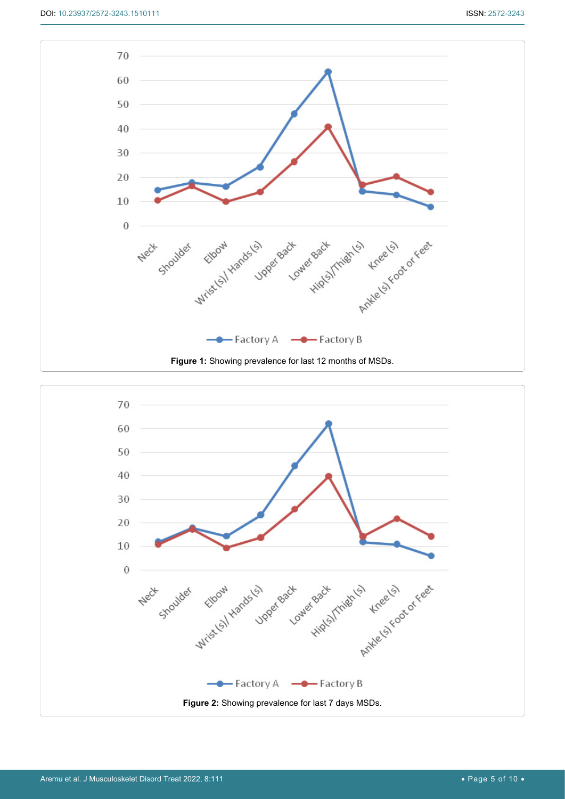

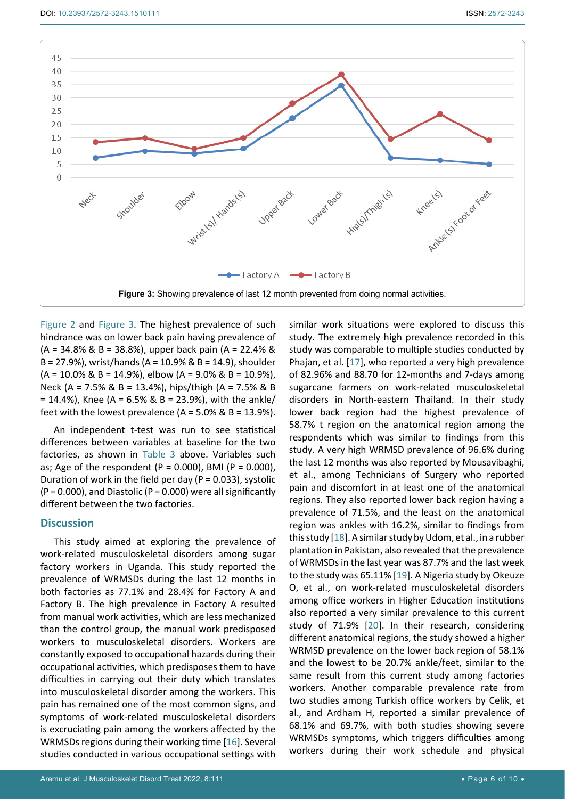

Figure 2 and Figure 3. The highest prevalence of such hindrance was on lower back pain having prevalence of (A = 34.8% & B = 38.8%), upper back pain (A = 22.4% & B = 27.9%), wrist/hands (A = 10.9% & B = 14.9), shoulder  $(A = 10.0\% \& B = 14.9\%),$  elbow  $(A = 9.0\% \& B = 10.9\%),$ Neck (A = 7.5% & B = 13.4%), hips/thigh (A = 7.5% & B  $= 14.4\%$ ), Knee (A = 6.5% & B = 23.9%), with the ankle/ feet with the lowest prevalence  $(A = 5.0\% \& B = 13.9\%).$ 

An independent t-test was run to see statistical differences between variables at baseline for the two factories, as shown in Table 3 above. Variables such as; Age of the respondent (P = 0.000), BMI (P = 0.000), Duration of work in the field per day ( $P = 0.033$ ), systolic  $(P = 0.000)$ , and Diastolic  $(P = 0.000)$  were all significantly different between the two factories.

#### **Discussion**

This study aimed at exploring the prevalence of work-related musculoskeletal disorders among sugar factory workers in Uganda. This study reported the prevalence of WRMSDs during the last 12 months in both factories as 77.1% and 28.4% for Factory A and Factory B. The high prevalence in Factory A resulted from manual work activities, which are less mechanized than the control group, the manual work predisposed workers to musculoskeletal disorders. Workers are constantly exposed to occupational hazards during their occupational activities, which predisposes them to have difficulties in carrying out their duty which translates into musculoskeletal disorder among the workers. This pain has remained one of the most common signs, and symptoms of work-related musculoskeletal disorders is excruciating pain among the workers affected by the WRMSDs regions during their working time [[16\]](#page-9-4). Several studies conducted in various occupational settings with similar work situations were explored to discuss this study. The extremely high prevalence recorded in this study was comparable to multiple studies conducted by Phajan, et al. [\[17\]](#page-9-0), who reported a very high prevalence of 82.96% and 88.70 for 12-months and 7-days among sugarcane farmers on work-related musculoskeletal disorders in North-eastern Thailand. In their study lower back region had the highest prevalence of 58.7% t region on the anatomical region among the respondents which was similar to findings from this study. A very high WRMSD prevalence of 96.6% during the last 12 months was also reported by Mousavibaghi, et al., among Technicians of Surgery who reported pain and discomfort in at least one of the anatomical regions. They also reported lower back region having a prevalence of 71.5%, and the least on the anatomical region was ankles with 16.2%, similar to findings from this study [[18](#page-9-1)]. A similar study by Udom, et al., in a rubber plantation in Pakistan, also revealed that the prevalence of WRMSDs in the last year was 87.7% and the last week to the study was 65.11% [[19](#page-9-2)]. A Nigeria study by Okeuze O, et al., on work-related musculoskeletal disorders among office workers in Higher Education institutions also reported a very similar prevalence to this current study of 71.9% [[20](#page-9-3)]. In their research, considering different anatomical regions, the study showed a higher WRMSD prevalence on the lower back region of 58.1% and the lowest to be 20.7% ankle/feet, similar to the same result from this current study among factories workers. Another comparable prevalence rate from two studies among Turkish office workers by Celik, et al., and Ardham H, reported a similar prevalence of 68.1% and 69.7%, with both studies showing severe WRMSDs symptoms, which triggers difficulties among workers during their work schedule and physical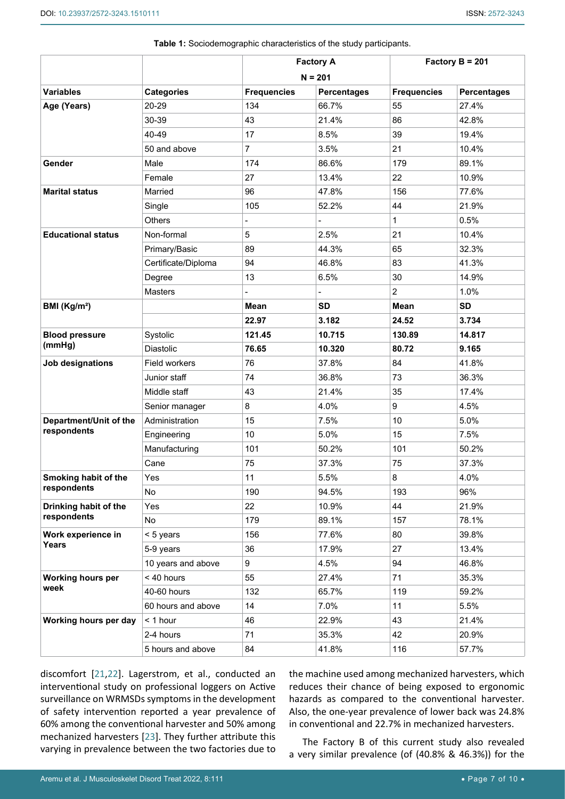|                             |                     | <b>Factory A</b>         |                    |                    | Factory $B = 201$  |
|-----------------------------|---------------------|--------------------------|--------------------|--------------------|--------------------|
|                             |                     |                          | $N = 201$          |                    |                    |
| <b>Variables</b>            | <b>Categories</b>   | <b>Frequencies</b>       | <b>Percentages</b> | <b>Frequencies</b> | <b>Percentages</b> |
| Age (Years)                 | 20-29               | 134                      | 66.7%              | 55                 | 27.4%              |
|                             | 30-39               | 43                       | 21.4%              | 86                 | 42.8%              |
|                             | 40-49               | 17                       | 8.5%               | 39                 | 19.4%              |
|                             | 50 and above        | $\overline{7}$           | 3.5%               | 21                 | 10.4%              |
| Gender                      | Male                | 174                      | 86.6%              | 179                | 89.1%              |
|                             | Female              | 27                       | 13.4%              | 22                 | 10.9%              |
| <b>Marital status</b>       | Married             | 96                       | 47.8%              | 156                | 77.6%              |
|                             | Single              | 105                      | 52.2%              | 44                 | 21.9%              |
|                             | Others              | $\overline{\phantom{a}}$ | -                  | 1                  | 0.5%               |
| <b>Educational status</b>   | Non-formal          | 5                        | 2.5%               | 21                 | 10.4%              |
|                             | Primary/Basic       | 89                       | 44.3%              | 65                 | 32.3%              |
|                             | Certificate/Diploma | 94                       | 46.8%              | 83                 | 41.3%              |
|                             | Degree              | 13                       | 6.5%               | 30                 | 14.9%              |
|                             | Masters             |                          |                    | $\overline{2}$     | 1.0%               |
| BMI $(Kg/m2)$               |                     | Mean                     | <b>SD</b>          | Mean               | <b>SD</b>          |
|                             |                     | 22.97                    | 3.182              | 24.52              | 3.734              |
| <b>Blood pressure</b>       | Systolic            | 121.45                   | 10.715             | 130.89             | 14.817             |
| (mmHg)                      | <b>Diastolic</b>    | 76.65                    | 10.320             | 80.72              | 9.165              |
| Job designations            | Field workers       | 76                       | 37.8%              | 84                 | 41.8%              |
|                             | Junior staff        | 74                       | 36.8%              | 73                 | 36.3%              |
|                             | Middle staff        | 43                       | 21.4%              | 35                 | 17.4%              |
|                             | Senior manager      | 8                        | 4.0%               | 9                  | 4.5%               |
| Department/Unit of the      | Administration      | 15                       | 7.5%               | 10                 | 5.0%               |
| respondents                 | Engineering         | 10                       | 5.0%               | 15                 | 7.5%               |
|                             | Manufacturing       | 101                      | 50.2%              | 101                | 50.2%              |
|                             | Cane                | 75                       | 37.3%              | 75                 | 37.3%              |
| Smoking habit of the        | Yes                 | 11                       | 5.5%               | 8                  | 4.0%               |
| respondents                 | <b>No</b>           | 190                      | 94.5%              | 193                | 96%                |
| Drinking habit of the       | Yes                 | 22                       | 10.9%              | 44                 | 21.9%              |
| respondents                 | No                  | 179                      | 89.1%              | 157                | 78.1%              |
| Work experience in<br>Years | < 5 years           | 156                      | 77.6%              | 80                 | 39.8%              |
|                             | 5-9 years           | 36                       | 17.9%              | 27                 | 13.4%              |
|                             | 10 years and above  | 9                        | 4.5%               | 94                 | 46.8%              |
| <b>Working hours per</b>    | < 40 hours          | 55                       | 27.4%              | 71                 | 35.3%              |
| week                        | 40-60 hours         | 132                      | 65.7%              | 119                | 59.2%              |
|                             | 60 hours and above  | 14                       | 7.0%               | 11                 | 5.5%               |
| Working hours per day       | < 1 hour            | 46                       | 22.9%              | 43                 | 21.4%              |
|                             | 2-4 hours           | 71                       | 35.3%              | 42                 | 20.9%              |
|                             | 5 hours and above   | 84                       | 41.8%              | 116                | 57.7%              |

**Table 1:** Sociodemographic characteristics of the study participants.

discomfort [\[21](#page-9-5)[,22](#page-9-6)]. Lagerstrom, et al., conducted an interventional study on professional loggers on Active surveillance on WRMSDs symptoms in the development of safety intervention reported a year prevalence of 60% among the conventional harvester and 50% among mechanized harvesters [[23\]](#page-9-7). They further attribute this varying in prevalence between the two factories due to

the machine used among mechanized harvesters, which reduces their chance of being exposed to ergonomic hazards as compared to the conventional harvester. Also, the one-year prevalence of lower back was 24.8% in conventional and 22.7% in mechanized harvesters.

The Factory B of this current study also revealed a very similar prevalence (of (40.8% & 46.3%)) for the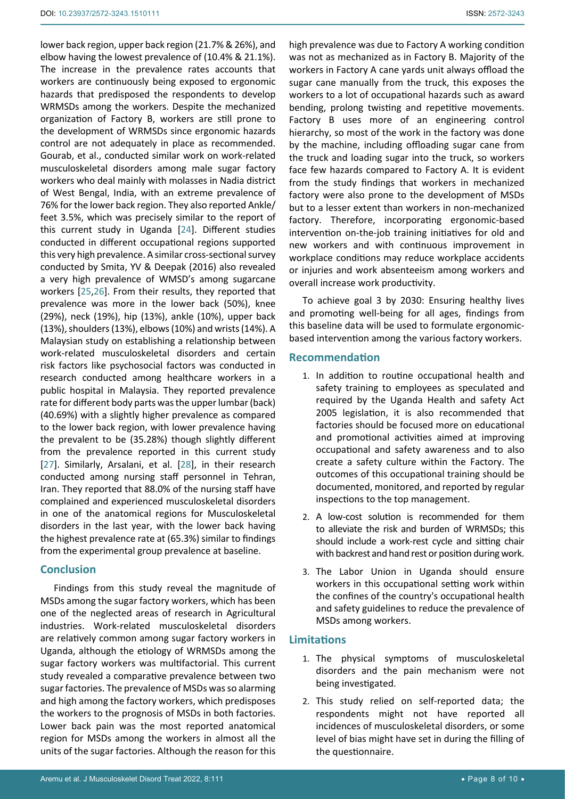lower back region, upper back region (21.7% & 26%), and elbow having the lowest prevalence of (10.4% & 21.1%). The increase in the prevalence rates accounts that workers are continuously being exposed to ergonomic hazards that predisposed the respondents to develop WRMSDs among the workers. Despite the mechanized organization of Factory B, workers are still prone to the development of WRMSDs since ergonomic hazards control are not adequately in place as recommended. Gourab, et al., conducted similar work on work-related musculoskeletal disorders among male sugar factory workers who deal mainly with molasses in Nadia district of West Bengal, India, with an extreme prevalence of 76% for the lower back region. They also reported Ankle/ feet 3.5%, which was precisely similar to the report of this current study in Uganda [[24\]](#page-9-8). Different studies conducted in different occupational regions supported this very high prevalence. A similar cross-sectional survey conducted by Smita, YV & Deepak (2016) also revealed a very high prevalence of WMSD's among sugarcane workers [\[25](#page-9-9),[26\]](#page-9-10). From their results, they reported that prevalence was more in the lower back (50%), knee (29%), neck (19%), hip (13%), ankle (10%), upper back (13%), shoulders (13%), elbows (10%) and wrists (14%). A Malaysian study on establishing a relationship between work-related musculoskeletal disorders and certain risk factors like psychosocial factors was conducted in research conducted among healthcare workers in a public hospital in Malaysia. They reported prevalence rate for different body parts was the upper lumbar (back) (40.69%) with a slightly higher prevalence as compared to the lower back region, with lower prevalence having the prevalent to be (35.28%) though slightly different from the prevalence reported in this current study [[27\]](#page-9-11). Similarly, Arsalani, et al. [\[28](#page-9-12)], in their research conducted among nursing staff personnel in Tehran, Iran. They reported that 88.0% of the nursing staff have complained and experienced musculoskeletal disorders in one of the anatomical regions for Musculoskeletal disorders in the last year, with the lower back having the highest prevalence rate at (65.3%) similar to findings

## **Conclusion**

Findings from this study reveal the magnitude of MSDs among the sugar factory workers, which has been one of the neglected areas of research in Agricultural industries. Work-related musculoskeletal disorders are relatively common among sugar factory workers in Uganda, although the etiology of WRMSDs among the sugar factory workers was multifactorial. This current study revealed a comparative prevalence between two sugar factories. The prevalence of MSDs was so alarming and high among the factory workers, which predisposes the workers to the prognosis of MSDs in both factories. Lower back pain was the most reported anatomical region for MSDs among the workers in almost all the units of the sugar factories. Although the reason for this

from the experimental group prevalence at baseline.

high prevalence was due to Factory A working condition was not as mechanized as in Factory B. Majority of the workers in Factory A cane yards unit always offload the sugar cane manually from the truck, this exposes the workers to a lot of occupational hazards such as award bending, prolong twisting and repetitive movements. Factory B uses more of an engineering control hierarchy, so most of the work in the factory was done by the machine, including offloading sugar cane from the truck and loading sugar into the truck, so workers face few hazards compared to Factory A. It is evident from the study findings that workers in mechanized factory were also prone to the development of MSDs but to a lesser extent than workers in non-mechanized factory. Therefore, incorporating ergonomic-based intervention on-the-job training initiatives for old and new workers and with continuous improvement in workplace conditions may reduce workplace accidents or injuries and work absenteeism among workers and overall increase work productivity.

To achieve goal 3 by 2030: Ensuring healthy lives and promoting well-being for all ages, findings from this baseline data will be used to formulate ergonomicbased intervention among the various factory workers.

## **Recommendation**

- 1. In addition to routine occupational health and safety training to employees as speculated and required by the Uganda Health and safety Act 2005 legislation, it is also recommended that factories should be focused more on educational and promotional activities aimed at improving occupational and safety awareness and to also create a safety culture within the Factory. The outcomes of this occupational training should be documented, monitored, and reported by regular inspections to the top management.
- 2. A low-cost solution is recommended for them to alleviate the risk and burden of WRMSDs; this should include a work-rest cycle and sitting chair with backrest and hand rest or position during work.
- 3. The Labor Union in Uganda should ensure workers in this occupational setting work within the confines of the country's occupational health and safety guidelines to reduce the prevalence of MSDs among workers.

## **Limitations**

- 1. The physical symptoms of musculoskeletal disorders and the pain mechanism were not being investigated.
- 2. This study relied on self-reported data; the respondents might not have reported all incidences of musculoskeletal disorders, or some level of bias might have set in during the filling of the questionnaire.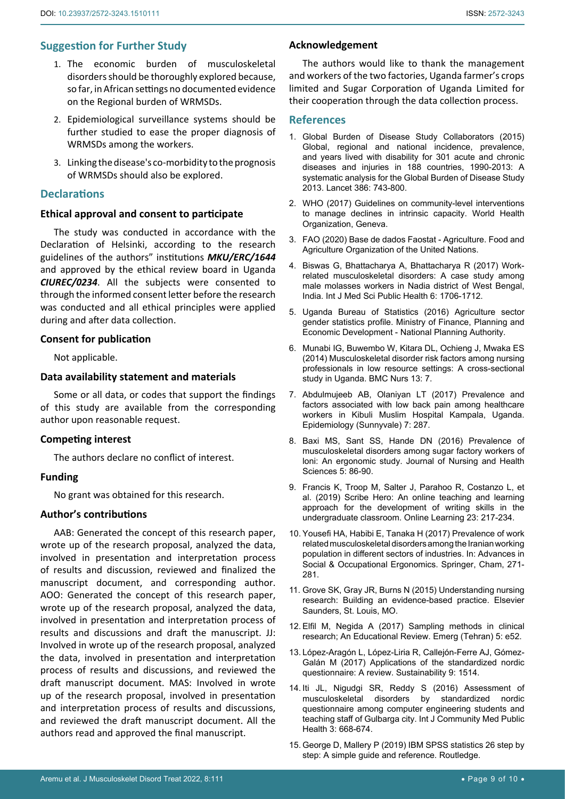## **Suggestion for Further Study**

- 1. The economic burden of musculoskeletal disorders should be thoroughly explored because, so far, in African settings no documented evidence on the Regional burden of WRMSDs.
- 2. Epidemiological surveillance systems should be further studied to ease the proper diagnosis of WRMSDs among the workers.
- 3. Linking the disease's co-morbidity to the prognosis of WRMSDs should also be explored.

## **Declarations**

## **Ethical approval and consent to participate**

The study was conducted in accordance with the Declaration of Helsinki, according to the research guidelines of the authors" institutions *MKU/ERC/1644* and approved by the ethical review board in Uganda *CIUREC/0234*. All the subjects were consented to through the informed consent letter before the research was conducted and all ethical principles were applied during and after data collection.

## **Consent for publication**

Not applicable.

#### **Data availability statement and materials**

Some or all data, or codes that support the findings of this study are available from the corresponding author upon reasonable request.

#### **Competing interest**

The authors declare no conflict of interest.

### **Funding**

No grant was obtained for this research.

#### **Author's contributions**

AAB: Generated the concept of this research paper, wrote up of the research proposal, analyzed the data, involved in presentation and interpretation process of results and discussion, reviewed and finalized the manuscript document, and corresponding author. AOO: Generated the concept of this research paper, wrote up of the research proposal, analyzed the data, involved in presentation and interpretation process of results and discussions and draft the manuscript. JJ: Involved in wrote up of the research proposal, analyzed the data, involved in presentation and interpretation process of results and discussions, and reviewed the draft manuscript document. MAS: Involved in wrote up of the research proposal, involved in presentation and interpretation process of results and discussions, and reviewed the draft manuscript document. All the authors read and approved the final manuscript.

#### **Acknowledgement**

The authors would like to thank the management and workers of the two factories, Uganda farmer's crops limited and Sugar Corporation of Uganda Limited for their cooperation through the data collection process.

#### **References**

- <span id="page-8-0"></span>1. [Global Burden of Disease Study Collaborators \(2015\)](https://www.thelancet.com/journals/lancet/article/PIIS0140-6736(15)60692-4/fulltext)  [Global, regional and national incidence, prevalence,](https://www.thelancet.com/journals/lancet/article/PIIS0140-6736(15)60692-4/fulltext)  [and years lived with disability for 301 acute and chronic](https://www.thelancet.com/journals/lancet/article/PIIS0140-6736(15)60692-4/fulltext)  [diseases and injuries in 188 countries, 1990-2013: A](https://www.thelancet.com/journals/lancet/article/PIIS0140-6736(15)60692-4/fulltext)  [systematic analysis for the Global Burden of Disease Study](https://www.thelancet.com/journals/lancet/article/PIIS0140-6736(15)60692-4/fulltext)  [2013. Lancet 386:](https://www.thelancet.com/journals/lancet/article/PIIS0140-6736(15)60692-4/fulltext) 743-800.
- <span id="page-8-1"></span>2. WHO (2017) Guidelines on community-level interventions to manage declines in intrinsic capacity. World Health Organization, Geneva.
- <span id="page-8-2"></span>3. FAO (2020) Base de dados Faostat - Agriculture. Food and Agriculture Organization of the United Nations.
- <span id="page-8-3"></span>4. [Biswas G, Bhattacharya A, Bhattacharya R \(2017\) Work](https://www.bibliomed.org/?mno=272154)[related musculoskeletal disorders: A case study among](https://www.bibliomed.org/?mno=272154)  [male molasses workers in Nadia district of West Bengal,](https://www.bibliomed.org/?mno=272154)  [India. Int J Med Sci Public Health 6: 1706-1712.](https://www.bibliomed.org/?mno=272154)
- <span id="page-8-4"></span>5. Uganda Bureau of Statistics (2016) Agriculture sector gender statistics profile. Ministry of Finance, Planning and Economic Development - National Planning Authority.
- <span id="page-8-5"></span>6. [Munabi IG, Buwembo W, Kitara DL, Ochieng J, Mwaka ES](https://pubmed.ncbi.nlm.nih.gov/24565421/)  [\(2014\) Musculoskeletal disorder risk factors among nursing](https://pubmed.ncbi.nlm.nih.gov/24565421/)  [professionals in low resource settings: A cross-sectional](https://pubmed.ncbi.nlm.nih.gov/24565421/)  [study in Uganda. BMC Nurs 13: 7.](https://pubmed.ncbi.nlm.nih.gov/24565421/)
- <span id="page-8-6"></span>7. [Abdulmujeeb AB, Olaniyan LT \(2017\) Prevalence and](https://www.omicsonline.org/open-access/prevalence-and-factors-associated-with-low-back-pain-among-healthcareworkers-in-kibuli-muslim-hospital-kampala-uganda-2161-1165-1000287.php?aid=85883)  [factors associated with low back pain among healthcare](https://www.omicsonline.org/open-access/prevalence-and-factors-associated-with-low-back-pain-among-healthcareworkers-in-kibuli-muslim-hospital-kampala-uganda-2161-1165-1000287.php?aid=85883)  [workers in Kibuli Muslim Hospital Kampala, Uganda.](https://www.omicsonline.org/open-access/prevalence-and-factors-associated-with-low-back-pain-among-healthcareworkers-in-kibuli-muslim-hospital-kampala-uganda-2161-1165-1000287.php?aid=85883)  [Epidemiology \(Sunnyvale\) 7: 287.](https://www.omicsonline.org/open-access/prevalence-and-factors-associated-with-low-back-pain-among-healthcareworkers-in-kibuli-muslim-hospital-kampala-uganda-2161-1165-1000287.php?aid=85883)
- <span id="page-8-7"></span>8. [Baxi MS, Sant SS, Hande DN \(2016\) Prevalence of](https://www.iosrjournals.org/iosr-jnhs/papers/vol5-issue5/Version-7/M0505078690.pdf)  [musculoskeletal disorders among sugar factory workers of](https://www.iosrjournals.org/iosr-jnhs/papers/vol5-issue5/Version-7/M0505078690.pdf)  [loni: An ergonomic study. Journal of Nursing and Health](https://www.iosrjournals.org/iosr-jnhs/papers/vol5-issue5/Version-7/M0505078690.pdf)  [Sciences 5: 86-90.](https://www.iosrjournals.org/iosr-jnhs/papers/vol5-issue5/Version-7/M0505078690.pdf)
- <span id="page-8-8"></span>9. [Francis K, Troop M, Salter J, Parahoo R, Costanzo L, et](https://olj.onlinelearningconsortium.org/index.php/olj/article/view/1531)  [al. \(2019\) Scribe Hero: An online teaching and learning](https://olj.onlinelearningconsortium.org/index.php/olj/article/view/1531)  [approach for the development of writing skills in the](https://olj.onlinelearningconsortium.org/index.php/olj/article/view/1531)  [undergraduate classroom.](https://olj.onlinelearningconsortium.org/index.php/olj/article/view/1531) Online Learning 23: 217-234.
- <span id="page-8-9"></span>10. Yousefi HA, Habibi E, Tanaka H (2017) Prevalence of work related musculoskeletal disorders among the Iranian working population in different sectors of industries. In: Advances in Social & Occupational Ergonomics. Springer, Cham, 271- 281.
- <span id="page-8-10"></span>11. Grove SK, Gray JR, Burns N (2015) Understanding nursing research: Building an evidence-based practice. Elsevier Saunders, St. Louis, MO.
- <span id="page-8-11"></span>12. [Elfil M, Negida A \(2017\) Sampling methods in clinical](https://pubmed.ncbi.nlm.nih.gov/28286859/)  [research; An Educational Review. Emerg \(Tehran\) 5: e52.](https://pubmed.ncbi.nlm.nih.gov/28286859/)
- <span id="page-8-13"></span>13. [López-Aragón L, López-Liria R, Callejón-Ferre AJ, Gómez-](https://www.mdpi.com/2071-1050/9/9/1514)[Galán M \(2017\) Applications of the standardized nordic](https://www.mdpi.com/2071-1050/9/9/1514)  [questionnaire: A review. Sustainability 9: 1514.](https://www.mdpi.com/2071-1050/9/9/1514)
- <span id="page-8-14"></span>14. [Iti JL, Nigudgi SR, Reddy S \(2016\) Assessment of](https://www.ijcmph.com/index.php/ijcmph/article/view/774)  [musculoskeletal disorders by standardized nordic](https://www.ijcmph.com/index.php/ijcmph/article/view/774)  [questionnaire among computer engineering students and](https://www.ijcmph.com/index.php/ijcmph/article/view/774)  [teaching staff of Gulbarga city. Int J Community Med Public](https://www.ijcmph.com/index.php/ijcmph/article/view/774)  [Health 3: 668-674.](https://www.ijcmph.com/index.php/ijcmph/article/view/774)
- <span id="page-8-12"></span>15. George D, Mallery P (2019) IBM SPSS statistics 26 step by step: A simple guide and reference. Routledge.